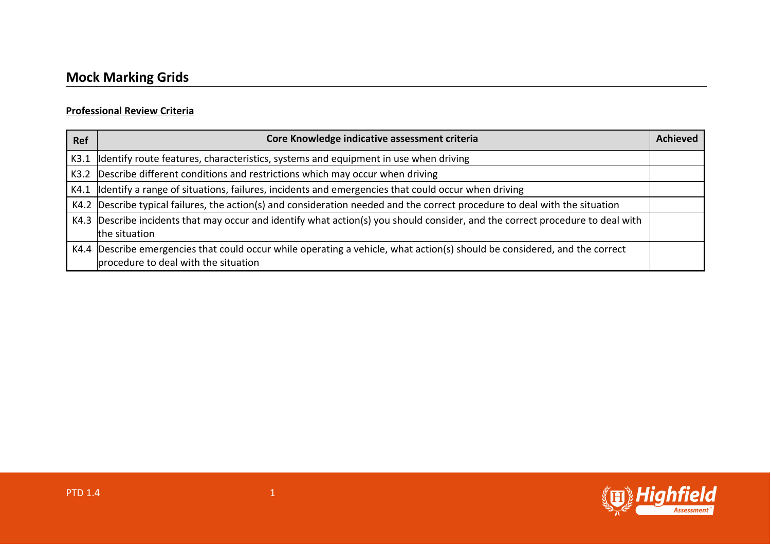## **Professional Review Criteria**

| <b>Ref</b> | Core Knowledge indicative assessment criteria                                                                                                                      | <b>Achieved</b> |
|------------|--------------------------------------------------------------------------------------------------------------------------------------------------------------------|-----------------|
| K3.1       | dentify route features, characteristics, systems and equipment in use when driving                                                                                 |                 |
| K3.2       | Describe different conditions and restrictions which may occur when driving                                                                                        |                 |
|            | $K4.1$ dentify a range of situations, failures, incidents and emergencies that could occur when driving                                                            |                 |
|            | K4.2 Describe typical failures, the action(s) and consideration needed and the correct procedure to deal with the situation                                        |                 |
|            | K4.3 Describe incidents that may occur and identify what action(s) you should consider, and the correct procedure to deal with<br>the situation                    |                 |
|            | K4.4 Describe emergencies that could occur while operating a vehicle, what action(s) should be considered, and the correct<br>procedure to deal with the situation |                 |

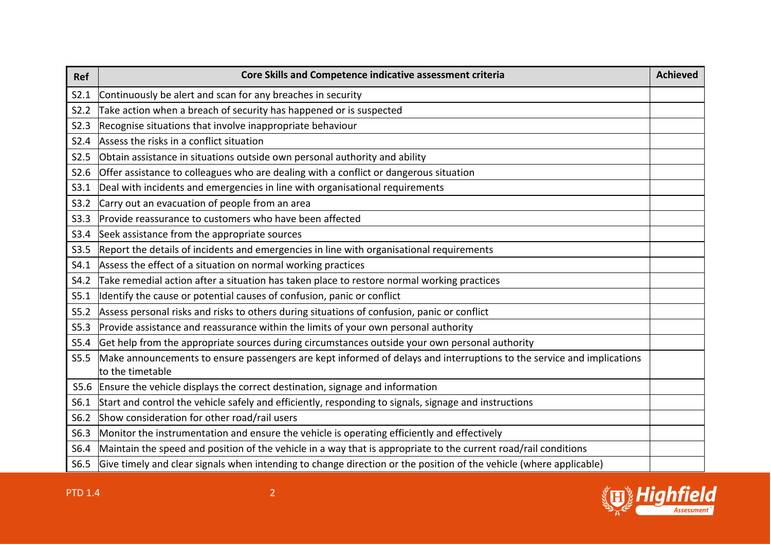| <b>Ref</b> | Core Skills and Competence indicative assessment criteria                                                                                 | <b>Achieved</b> |
|------------|-------------------------------------------------------------------------------------------------------------------------------------------|-----------------|
| S2.1       | Continuously be alert and scan for any breaches in security                                                                               |                 |
| S2.2       | Take action when a breach of security has happened or is suspected                                                                        |                 |
| S2.3       | Recognise situations that involve inappropriate behaviour                                                                                 |                 |
| S2.4       | Assess the risks in a conflict situation                                                                                                  |                 |
| S2.5       | Obtain assistance in situations outside own personal authority and ability                                                                |                 |
| S2.6       | Offer assistance to colleagues who are dealing with a conflict or dangerous situation                                                     |                 |
| S3.1       | Deal with incidents and emergencies in line with organisational requirements                                                              |                 |
| S3.2       | Carry out an evacuation of people from an area                                                                                            |                 |
| S3.3       | Provide reassurance to customers who have been affected                                                                                   |                 |
| S3.4       | Seek assistance from the appropriate sources                                                                                              |                 |
| S3.5       | Report the details of incidents and emergencies in line with organisational requirements                                                  |                 |
| S4.1       | Assess the effect of a situation on normal working practices                                                                              |                 |
| S4.2       | Take remedial action after a situation has taken place to restore normal working practices                                                |                 |
| S5.1       | Identify the cause or potential causes of confusion, panic or conflict                                                                    |                 |
| S5.2       | Assess personal risks and risks to others during situations of confusion, panic or conflict                                               |                 |
| S5.3       | Provide assistance and reassurance within the limits of your own personal authority                                                       |                 |
| S5.4       | Get help from the appropriate sources during circumstances outside your own personal authority                                            |                 |
| S5.5       | Make announcements to ensure passengers are kept informed of delays and interruptions to the service and implications<br>to the timetable |                 |
| S5.6       | Ensure the vehicle displays the correct destination, signage and information                                                              |                 |
| S6.1       | Start and control the vehicle safely and efficiently, responding to signals, signage and instructions                                     |                 |
| S6.2       | Show consideration for other road/rail users                                                                                              |                 |
| S6.3       | Monitor the instrumentation and ensure the vehicle is operating efficiently and effectively                                               |                 |
| S6.4       | Maintain the speed and position of the vehicle in a way that is appropriate to the current road/rail conditions                           |                 |
| S6.5       | Give timely and clear signals when intending to change direction or the position of the vehicle (where applicable)                        |                 |

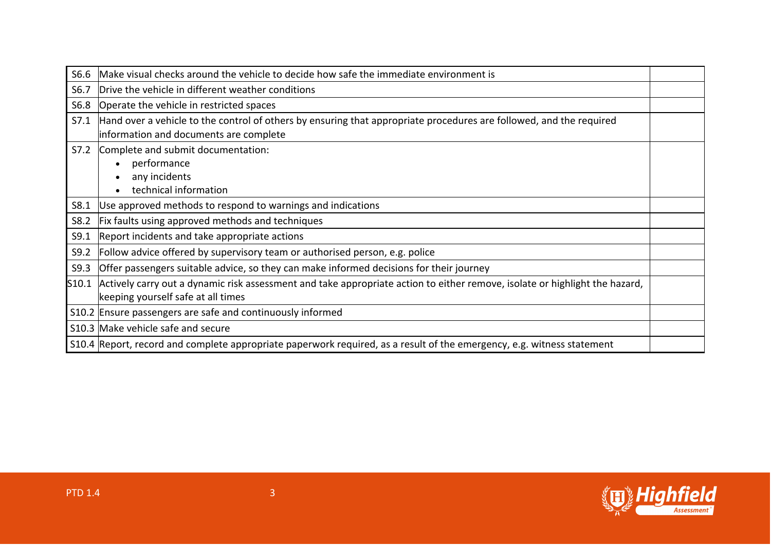| S6.6  | Make visual checks around the vehicle to decide how safe the immediate environment is                                       |  |
|-------|-----------------------------------------------------------------------------------------------------------------------------|--|
| S6.7  | Drive the vehicle in different weather conditions                                                                           |  |
| S6.8  | Operate the vehicle in restricted spaces                                                                                    |  |
| S7.1  | Hand over a vehicle to the control of others by ensuring that appropriate procedures are followed, and the required         |  |
|       | information and documents are complete                                                                                      |  |
| S7.2  | Complete and submit documentation:                                                                                          |  |
|       | performance                                                                                                                 |  |
|       | any incidents                                                                                                               |  |
|       | technical information                                                                                                       |  |
| S8.1  | Use approved methods to respond to warnings and indications                                                                 |  |
| S8.2  | Fix faults using approved methods and techniques                                                                            |  |
| S9.1  | Report incidents and take appropriate actions                                                                               |  |
| S9.2  | Follow advice offered by supervisory team or authorised person, e.g. police                                                 |  |
| S9.3  | Offer passengers suitable advice, so they can make informed decisions for their journey                                     |  |
| S10.1 | Actively carry out a dynamic risk assessment and take appropriate action to either remove, isolate or highlight the hazard, |  |
|       | keeping yourself safe at all times                                                                                          |  |
|       | S10.2 Ensure passengers are safe and continuously informed                                                                  |  |
|       | S10.3 Make vehicle safe and secure                                                                                          |  |
|       | S10.4 Report, record and complete appropriate paperwork required, as a result of the emergency, e.g. witness statement      |  |

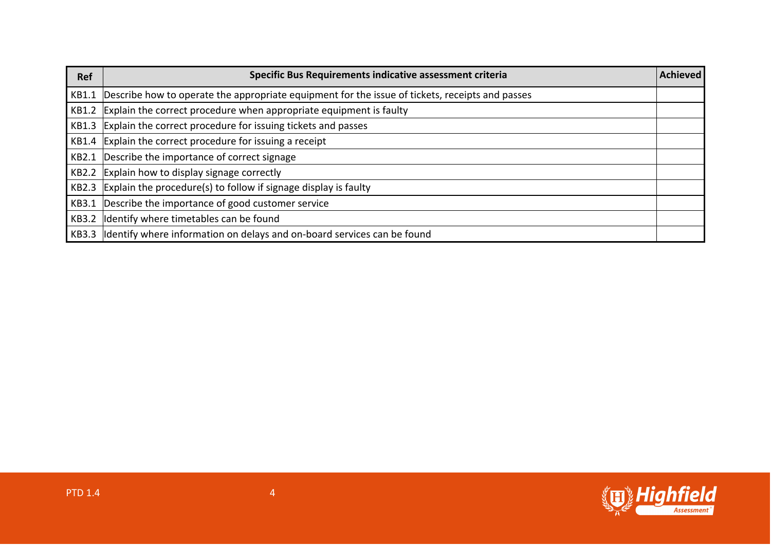| Ref   | Specific Bus Requirements indicative assessment criteria                                        | <b>Achieved</b> |
|-------|-------------------------------------------------------------------------------------------------|-----------------|
| KB1.1 | Describe how to operate the appropriate equipment for the issue of tickets, receipts and passes |                 |
| KB1.2 | Explain the correct procedure when appropriate equipment is faulty                              |                 |
|       | KB1.3 Explain the correct procedure for issuing tickets and passes                              |                 |
|       | KB1.4 Explain the correct procedure for issuing a receipt                                       |                 |
| KB2.1 | Describe the importance of correct signage                                                      |                 |
| KB2.2 | Explain how to display signage correctly                                                        |                 |
|       | KB2.3 Explain the procedure(s) to follow if signage display is faulty                           |                 |
| KB3.1 | Describe the importance of good customer service                                                |                 |
| KB3.2 | Identify where timetables can be found                                                          |                 |
|       | KB3.3 Identify where information on delays and on-board services can be found                   |                 |

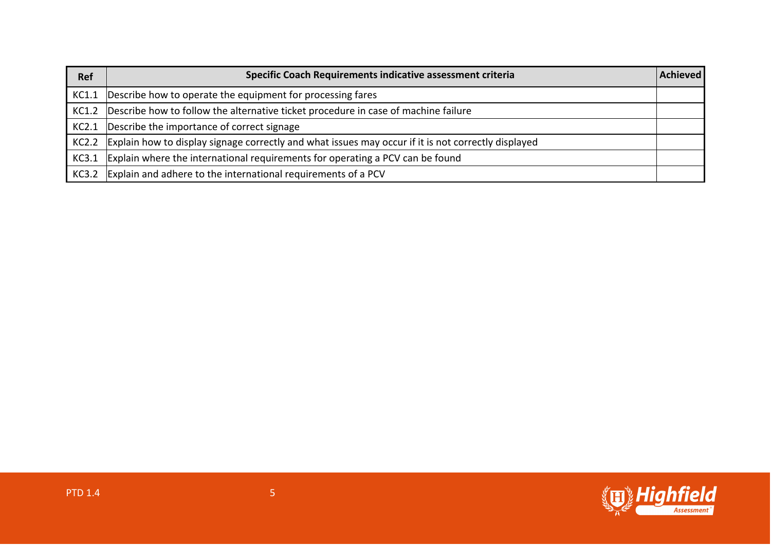| <b>Ref</b> | Specific Coach Requirements indicative assessment criteria                                          | Achieved |
|------------|-----------------------------------------------------------------------------------------------------|----------|
| KC1.1      | Describe how to operate the equipment for processing fares                                          |          |
| KC1.2      | Describe how to follow the alternative ticket procedure in case of machine failure                  |          |
| KC2.1      | Describe the importance of correct signage                                                          |          |
| KC2.2      | Explain how to display signage correctly and what issues may occur if it is not correctly displayed |          |
| KC3.1      | Explain where the international requirements for operating a PCV can be found                       |          |
| KC3.2      | Explain and adhere to the international requirements of a PCV                                       |          |